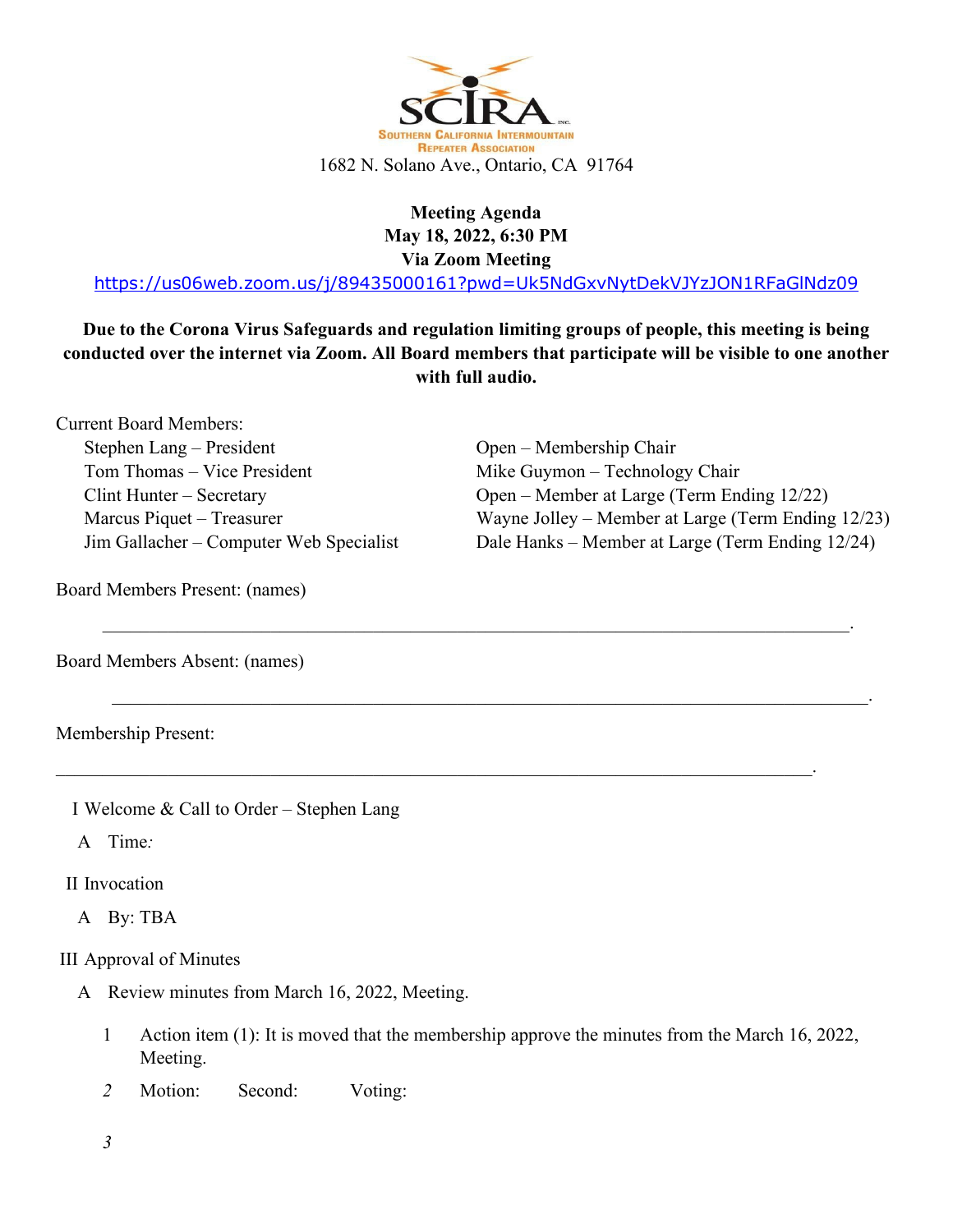

## **Meeting Agenda May 18, 2022, 6:30 PM Via Zoom Meeting**

<https://us06web.zoom.us/j/89435000161?pwd=Uk5NdGxvNytDekVJYzJON1RFaGlNdz09>

**Due to the Corona Virus Safeguards and regulation limiting groups of people, this meeting is being conducted over the internet via Zoom. All Board members that participate will be visible to one another with full audio.**

 $\mathcal{L}_\mathcal{L} = \mathcal{L}_\mathcal{L} = \mathcal{L}_\mathcal{L} = \mathcal{L}_\mathcal{L} = \mathcal{L}_\mathcal{L} = \mathcal{L}_\mathcal{L} = \mathcal{L}_\mathcal{L} = \mathcal{L}_\mathcal{L} = \mathcal{L}_\mathcal{L} = \mathcal{L}_\mathcal{L} = \mathcal{L}_\mathcal{L} = \mathcal{L}_\mathcal{L} = \mathcal{L}_\mathcal{L} = \mathcal{L}_\mathcal{L} = \mathcal{L}_\mathcal{L} = \mathcal{L}_\mathcal{L} = \mathcal{L}_\mathcal{L}$ 

 $\_$  , and the contribution of the contribution of  $\mathcal{L}_\mathcal{A}$  , and the contribution of  $\mathcal{L}_\mathcal{A}$  , and

 $\_$  , and the contribution of the contribution of  $\mathcal{L}_\mathcal{A}$  , and the contribution of  $\mathcal{L}_\mathcal{A}$  , and

Current Board Members: Stephen Lang – President Tom Thomas – Vice President Clint Hunter – Secretary Marcus Piquet – Treasurer Jim Gallacher – Computer Web Specialist

Open – Membership Chair Mike Guymon – Technology Chair Open – Member at Large (Term Ending 12/22) Wayne Jolley – Member at Large (Term Ending 12/23) Dale Hanks – Member at Large (Term Ending 12/24)

Board Members Present: (names)

Board Members Absent: (names)

Membership Present:

I Welcome & Call to Order – Stephen Lang

A Time*:* 

II Invocation

A By: TBA

III Approval of Minutes

- A Review minutes from March 16, 2022, Meeting.
	- 1 Action item (1): It is moved that the membership approve the minutes from the March 16, 2022, Meeting.
	- 2 Motion: Second: Voting:

*3*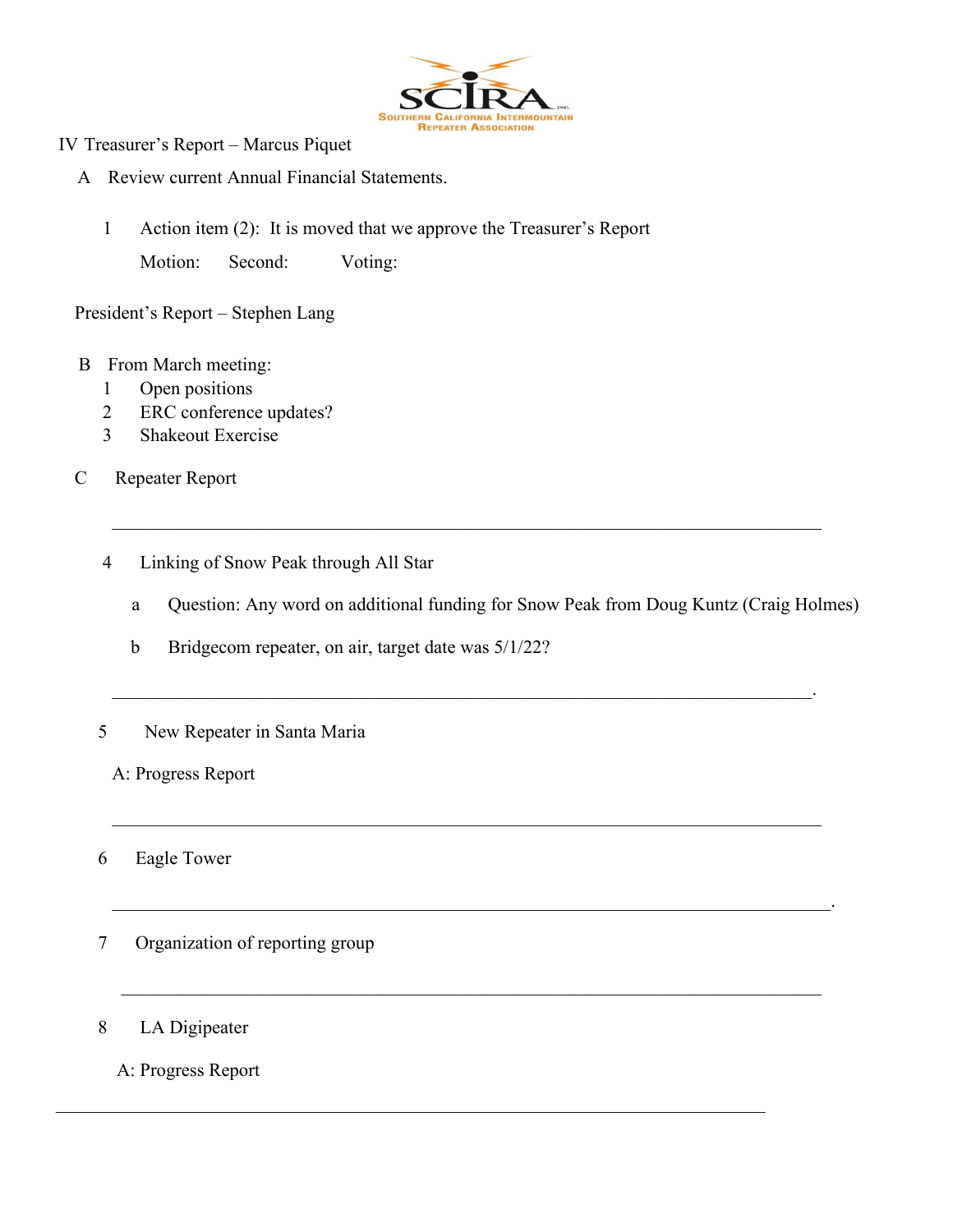

- IV Treasurer's Report Marcus Piquet
	- A Review current Annual Financial Statements.
		- 1 Action item (2): It is moved that we approve the Treasurer's Report Motion: Second: Voting:

President's Report – Stephen Lang

- B From March meeting:
	- 1 Open positions
	- 2 ERC conference updates?
	- 3 Shakeout Exercise
- C Repeater Report
	- 4 Linking of Snow Peak through All Star
		- a Question: Any word on additional funding for Snow Peak from Doug Kuntz (Craig Holmes)

\_\_\_\_\_\_\_\_\_\_\_\_\_\_\_\_\_\_\_\_\_\_\_\_\_\_\_\_\_\_\_\_\_\_\_\_\_\_\_\_\_\_\_\_\_\_\_\_\_\_\_\_\_\_\_\_\_\_\_\_\_\_\_\_\_\_\_\_\_\_\_\_\_\_\_\_

\_\_\_\_\_\_\_\_\_\_\_\_\_\_\_\_\_\_\_\_\_\_\_\_\_\_\_\_\_\_\_\_\_\_\_\_\_\_\_\_\_\_\_\_\_\_\_\_\_\_\_\_\_\_\_\_\_\_\_\_\_\_\_\_\_\_\_\_\_\_\_\_\_\_\_.

\_\_\_\_\_\_\_\_\_\_\_\_\_\_\_\_\_\_\_\_\_\_\_\_\_\_\_\_\_\_\_\_\_\_\_\_\_\_\_\_\_\_\_\_\_\_\_\_\_\_\_\_\_\_\_\_\_\_\_\_\_\_\_\_\_\_\_\_\_\_\_\_\_\_\_\_

\_\_\_\_\_\_\_\_\_\_\_\_\_\_\_\_\_\_\_\_\_\_\_\_\_\_\_\_\_\_\_\_\_\_\_\_\_\_\_\_\_\_\_\_\_\_\_\_\_\_\_\_\_\_\_\_\_\_\_\_\_\_\_\_\_\_\_\_\_\_\_\_\_\_\_\_\_.

 $\mathcal{L}_\text{max}$  , and the contribution of the contribution of the contribution of the contribution of the contribution of the contribution of the contribution of the contribution of the contribution of the contribution of t

- b Bridgecom repeater, on air, target date was 5/1/22?
- 5 New Repeater in Santa Maria
	- A: Progress Report

6 Eagle Tower

- 7 Organization of reporting group
- 8 LA Digipeater
	- A: Progress Report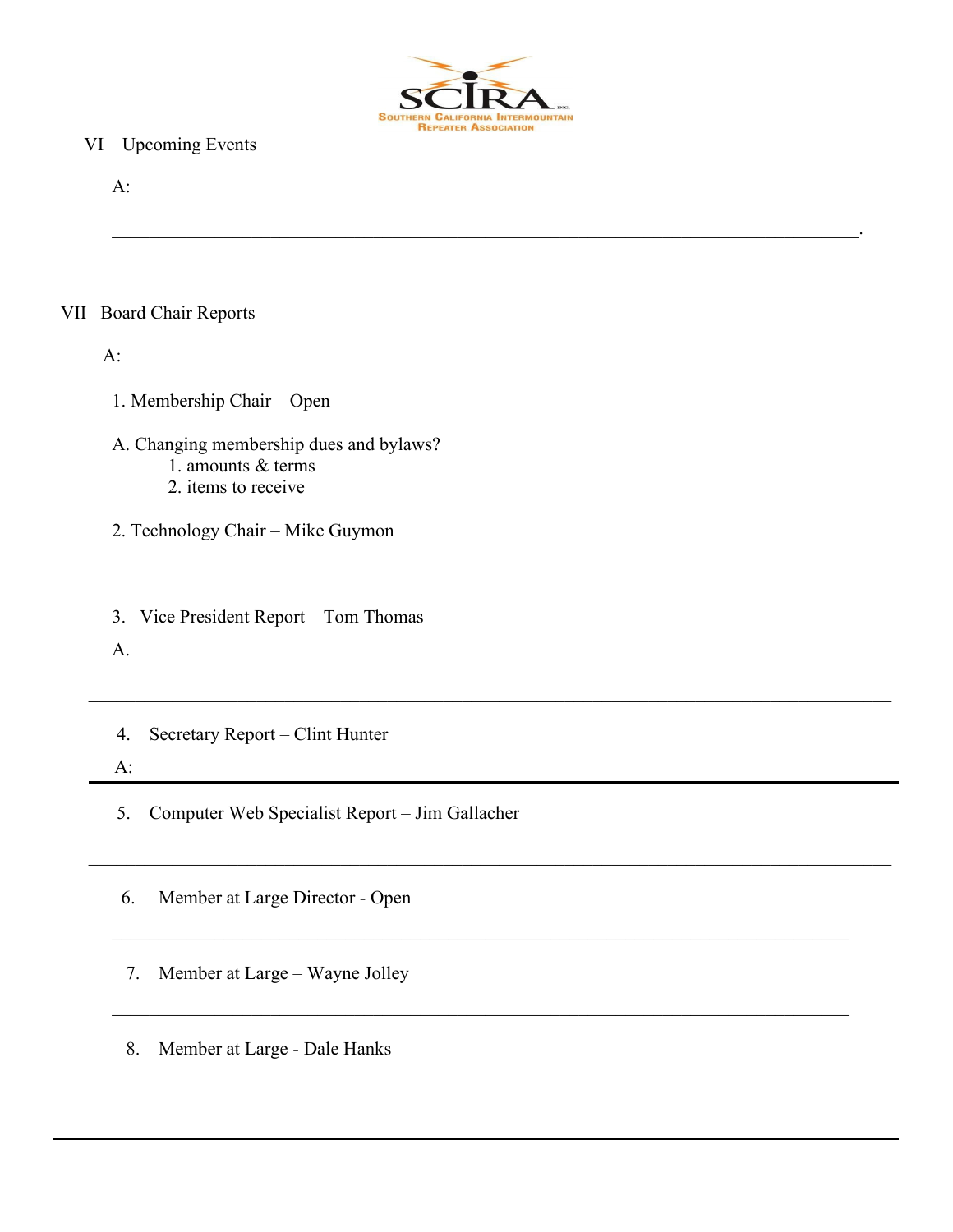

 $\mathcal{L}_\mathcal{L} = \mathcal{L}_\mathcal{L} = \mathcal{L}_\mathcal{L} = \mathcal{L}_\mathcal{L} = \mathcal{L}_\mathcal{L} = \mathcal{L}_\mathcal{L} = \mathcal{L}_\mathcal{L} = \mathcal{L}_\mathcal{L} = \mathcal{L}_\mathcal{L} = \mathcal{L}_\mathcal{L} = \mathcal{L}_\mathcal{L} = \mathcal{L}_\mathcal{L} = \mathcal{L}_\mathcal{L} = \mathcal{L}_\mathcal{L} = \mathcal{L}_\mathcal{L} = \mathcal{L}_\mathcal{L} = \mathcal{L}_\mathcal{L}$ 

 $\mathcal{L}_\text{G} = \{ \mathcal{L}_\text{G} = \{ \mathcal{L}_\text{G} = \{ \mathcal{L}_\text{G} = \{ \mathcal{L}_\text{G} = \{ \mathcal{L}_\text{G} = \{ \mathcal{L}_\text{G} = \{ \mathcal{L}_\text{G} = \{ \mathcal{L}_\text{G} = \{ \mathcal{L}_\text{G} = \{ \mathcal{L}_\text{G} = \{ \mathcal{L}_\text{G} = \{ \mathcal{L}_\text{G} = \{ \mathcal{L}_\text{G} = \{ \mathcal{L}_\text{G} = \{ \mathcal{L}_\text{G$ 

#### VI Upcoming Events

A:

#### VII Board Chair Reports

A:

1. Membership Chair – Open

- A. Changing membership dues and bylaws?
	- 1. amounts & terms
	- 2. items to receive
- 2. Technology Chair Mike Guymon
- 3. Vice President Report Tom Thomas

A.

4. Secretary Report – Clint Hunter

A:

5. Computer Web Specialist Report – Jim Gallacher

6. Member at Large Director - Open

7. Member at Large – Wayne Jolley

8. Member at Large - Dale Hanks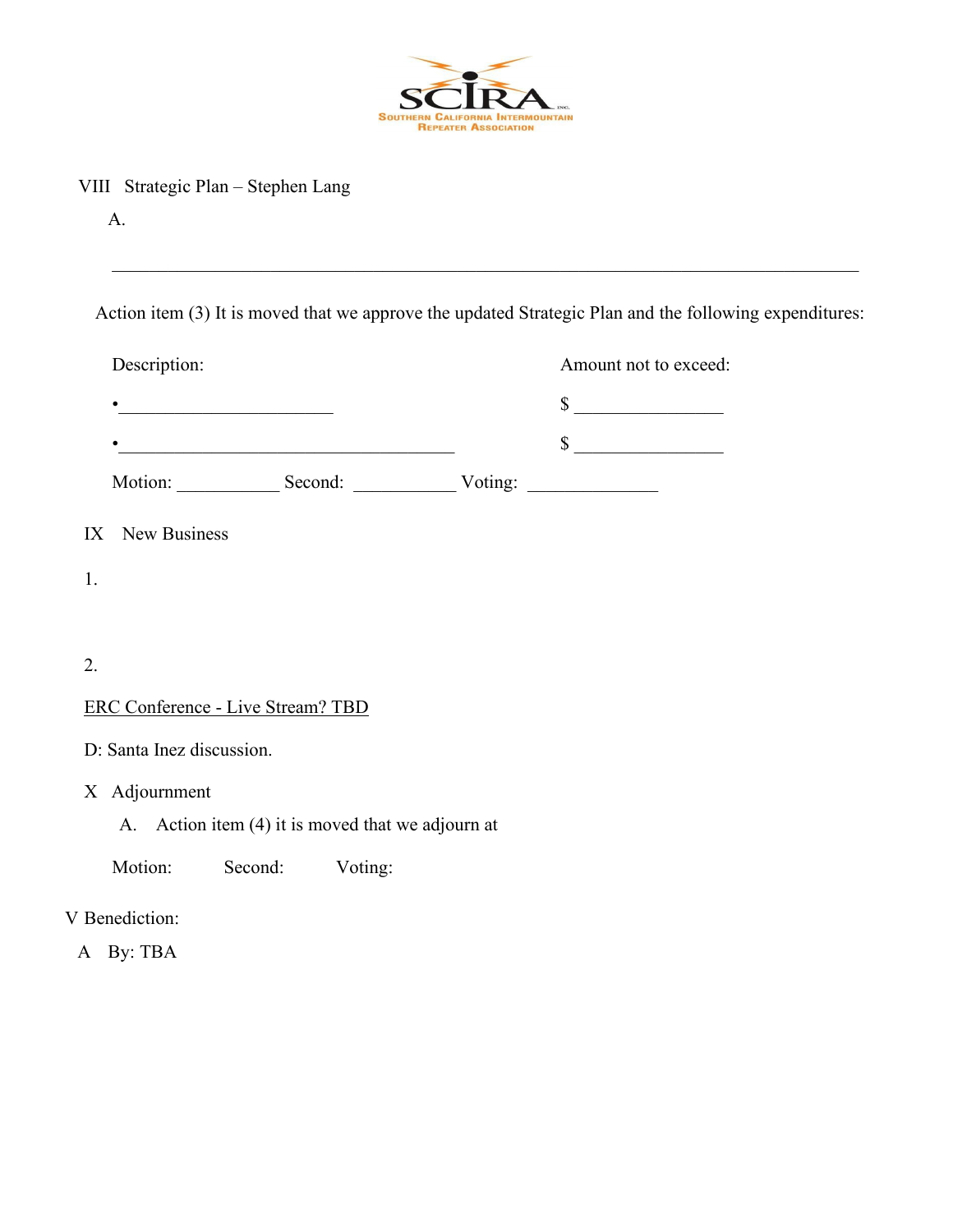

VIII Strategic Plan – Stephen Lang

Action item (3) It is moved that we approve the updated Strategic Plan and the following expenditures:

| Description:                      |                                                                                           | Amount not to exceed: |  |  |
|-----------------------------------|-------------------------------------------------------------------------------------------|-----------------------|--|--|
|                                   |                                                                                           | $\sim$                |  |  |
|                                   | the control of the control of the control of the control of the control of the control of | $\sim$                |  |  |
|                                   | Motion: Second: Voting: Voting:                                                           |                       |  |  |
| IX New Business                   |                                                                                           |                       |  |  |
| 1.                                |                                                                                           |                       |  |  |
|                                   |                                                                                           |                       |  |  |
| 2.                                |                                                                                           |                       |  |  |
| ERC Conference - Live Stream? TBD |                                                                                           |                       |  |  |
| D: Santa Inez discussion.         |                                                                                           |                       |  |  |
| X Adjournment                     |                                                                                           |                       |  |  |

- A. Action item (4) it is moved that we adjourn at
- Motion: Second: Voting:

## V Benediction:

A By: TBA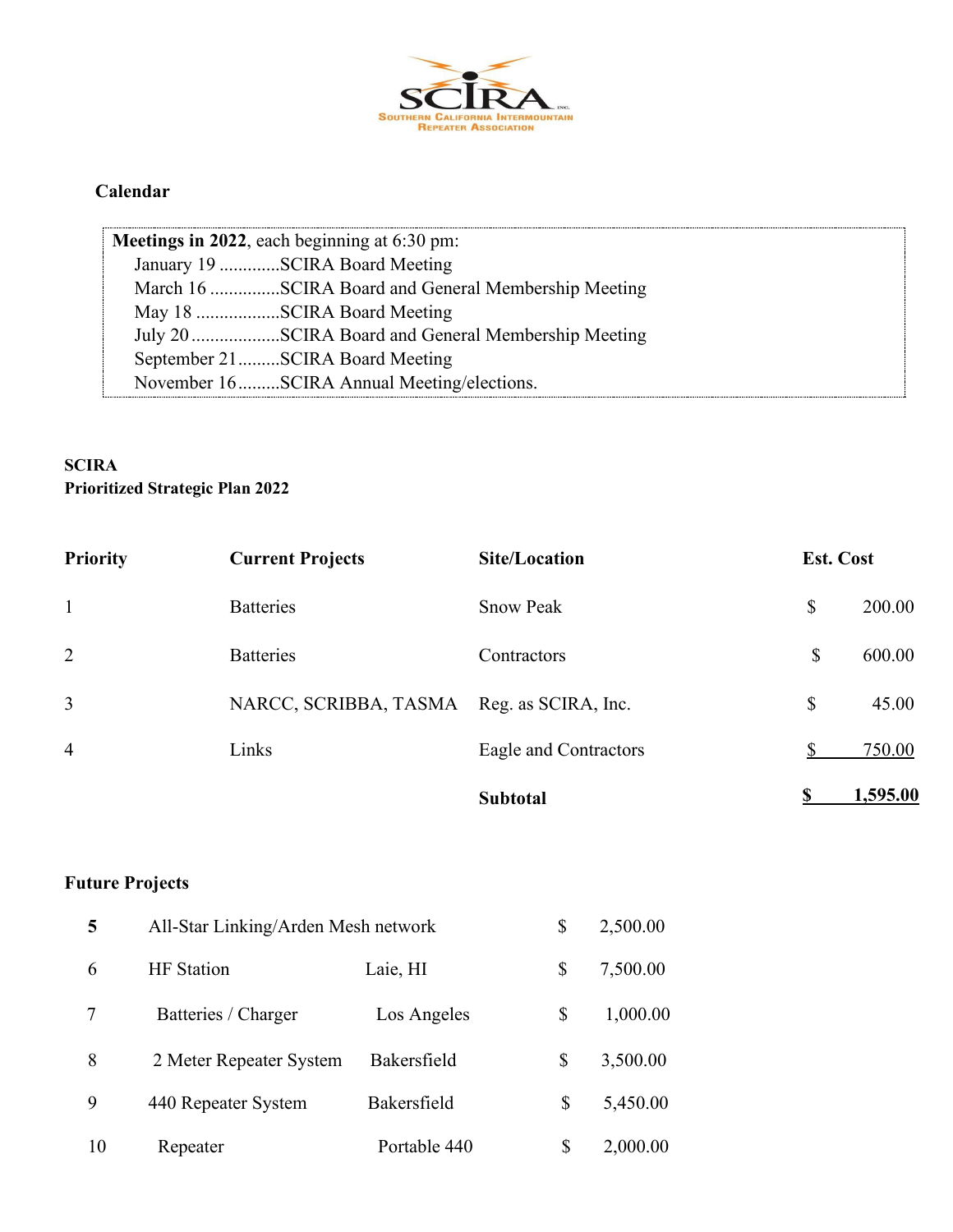

#### **Calendar**

| Meetings in 2022, each beginning at 6:30 pm:        |
|-----------------------------------------------------|
| January 19 SCIRA Board Meeting                      |
| March 16 SCIRA Board and General Membership Meeting |
| May 18 SCIRA Board Meeting                          |
| July 20SCIRA Board and General Membership Meeting   |
| September 21SCIRA Board Meeting                     |
| November 16SCIRA Annual Meeting/elections.          |

#### **SCIRA Prioritized Strategic Plan 2022**

| <b>Priority</b> | <b>Current Projects</b> | <b>Site/Location</b>  | <b>Est. Cost</b> |          |
|-----------------|-------------------------|-----------------------|------------------|----------|
| $\mathbf{1}$    | <b>Batteries</b>        | <b>Snow Peak</b>      | \$               | 200.00   |
| 2               | <b>Batteries</b>        | Contractors           | \$               | 600.00   |
| $\overline{3}$  | NARCC, SCRIBBA, TASMA   | Reg. as SCIRA, Inc.   | \$               | 45.00    |
| $\overline{4}$  | Links                   | Eagle and Contractors |                  | 750.00   |
|                 |                         | <b>Subtotal</b>       |                  | 1,595.00 |

# **Future Projects**

| 5  | All-Star Linking/Arden Mesh network |              | \$<br>2,500.00 |
|----|-------------------------------------|--------------|----------------|
| 6  | <b>HF</b> Station                   | Laie, HI     | \$<br>7,500.00 |
| 7  | Batteries / Charger                 | Los Angeles  | \$<br>1,000.00 |
| 8  | 2 Meter Repeater System             | Bakersfield  | \$<br>3,500.00 |
| 9  | 440 Repeater System                 | Bakersfield  | \$<br>5,450.00 |
| 10 | Repeater                            | Portable 440 | 2,000.00       |